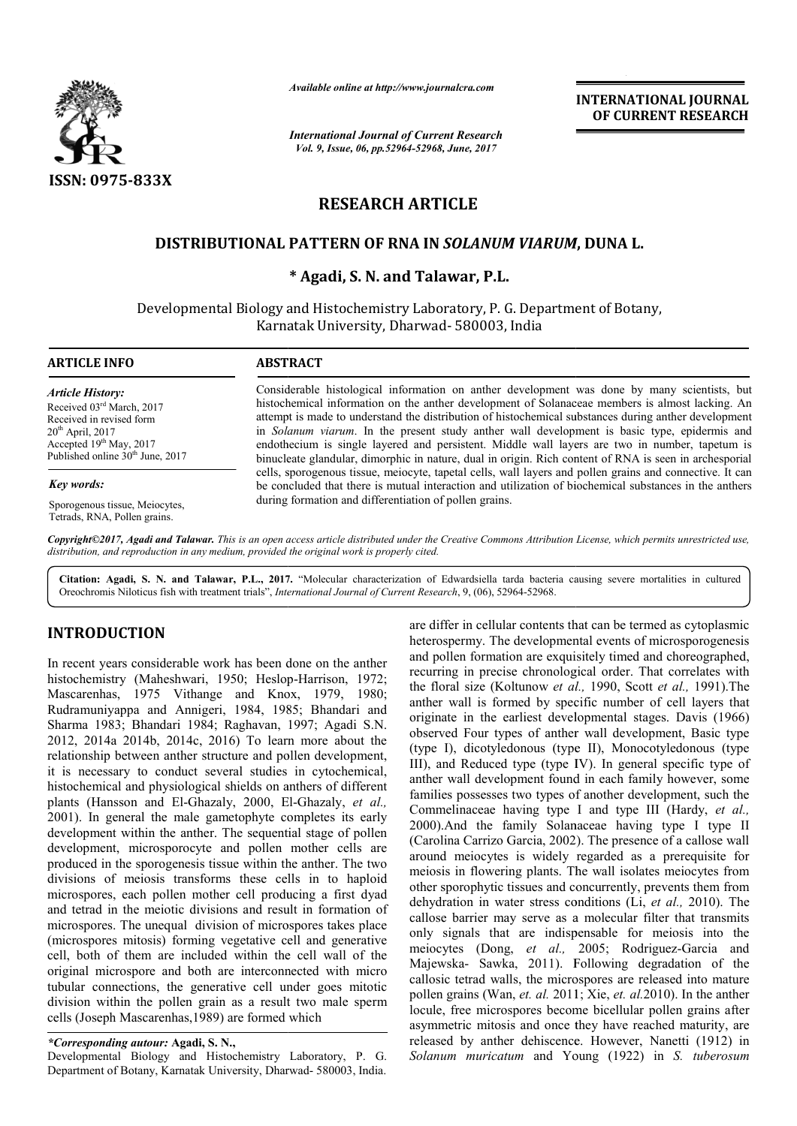

*Available online at http://www.journalcra.com*

*International Journal of Current Research Vol. 9, Issue, 06, pp.52964-52968, June, 2017*

**INTERNATIONAL JOURNAL OF CURRENT RESEARCH** 

# **RESEARCH ARTICLE**

# **DISTRIBUTIONAL PATTERN OF RNA IN**  *SOLANUM VIARUM* **, DUNA L.**

# **\* Agadi, S. N. and Talawar, P.L.**

Developmental Biology and Histochemistry Laboratory, P. G. Department of Botany, Karnatak University, Dharwad Dharwad- 580003, India

#### **ARTICLE INFO ABSTRACT**

*Article History:* Received 03rd March, 2017 Received in revised form  $20<sup>th</sup>$  April,  $2017$ Accepted 19<sup>th</sup> May, 2017 Published online 30<sup>th</sup> June, 2017

#### *Key words:*

Sporogenous tissue, Meiocytes, Tetrads, RNA, Pollen grains.

Considerable histological information on anther development was done by many scientists, but histochemical information on the anther development of Solanaceae members is almost lacking. An attempt is made to understand the distribution of histochemical substances during anther development in *Solanum viarum* . In the present study anther wall development is basic type, epidermis and in *Solanum viarum*. In the present study anther wall development is basic type, epidermis and endothecium is single layered and persistent. Middle wall layers are two in number, tapetum is binucleate glandular, dimorphic in nature, dual in origin. Rich content of RNA is seen in archesporial cells, sporogenous tissue, meiocyte, tapetal cells, wall layers and pollen grains and connective. It can cells, sporogenous tissue, meiocyte, tapetal cells, wall layers and pollen grains and connective. It can<br>be concluded that there is mutual interaction and utilization of biochemical substances in the anthers during formation and differentiation of pollen grains. Considerable histological information on anther development was done by many scientists, but histochemical information on the anther development of Solanaceae members is almost lacking. An attempt is made to understand the

*Copyright©2017, Agadi and Talawar. This is an open access article distributed under the Creative Commons Att Attribution License, which ribution permits unrestricted use, distribution, and reproduction in any medium, provided the original work is properly cited.*

Citation: Agadi, S. N. and Talawar, P.L., 2017. "Molecular characterization of Edwardsiella tarda bacteria causing severe mortalities in cultured Oreochromis Niloticus fish with treatment trials", *International Journal of Current Research* , 9, (06), 52964-52968.

# **INTRODUCTION**

In recent years considerable work has been done on the anther histochemistry (Maheshwari, 1950; Heslop-Harrison, 1972; Mascarenhas, 1975 Vithange and Knox, 1979, 1980; Rudramuniyappa and Annigeri, 1984, 1985; Bhandari and Sharma 1983; Bhandari 1984; Raghavan, 1997; Agadi S.N. 2012, 2014a 2014b, 2014c, 2016) To learn more about the relationship between anther structure and pollen development, it is necessary to conduct several studies in cytochemical, histochemical and physiological shields on anthers of different plants (Hansson and El-Ghazaly, 2000, El-Ghazaly, et al., 2001). In general the male gametophyte completes its early development within the anther. The sequential stage of pollen development, microsporocyte and pollen mother cells are produced in the sporogenesis tissue within the anther. The two divisions of meiosis transforms these cells in to haploid microspores, each pollen mother cell producing a first dyad and tetrad in the meiotic divisions and result in formation of microspores. The unequal division of microspores takes place (microspores mitosis) forming vegetative cell and generative cell, both of them are included within the cell wall of the original microspore and both are interconnected with micro tubular connections, the generative cell under goes mitotic division within the pollen grain as a result two male sperm cells (Joseph Mascarenhas,1989) are formed which an, 1997; Agadi S.N.<br>learn more about the<br>d pollen development,<br>dies in cytochemical,<br>on anthers of different

*\*Corresponding autour:* **Agadi, S. N.,**

Developmental Biology and Histochemistry Laboratory, P. G. Department of Botany, Karnatak University, Dharwad- 580003, India. 1989) are formed which<br> **di, S. N.,**<br>
d Histochemistry Laboratory, P. G.<br>
tak University, Dharwad- 580003, India.

are differ in cellular contents that can be termed as cytoplasmic heterospermy. The developmental events of microsporogenesis and pollen formation are exquisitely timed and choreographed, recurring in precise chronological order. That correlates with the floral size (Koltunow *et al.,* 1990. Scott *et al.,* 1991). The anther wall is formed by specific number of cell layers that originate in the earliest developmental stages. Davis (1966) observed Four types of anther wall development, Basic type (type I), dicotyledonous (type II), Monocotyledonous (type III), and Reduced type (type IV). In general specific type of anther wall development found in each family however, some families possesses two types of another development, such the Commelinaceae having type I and type III (Hardy, et al., 2000).And the family Solanaceae having type I type II 2000). And the family Solanaceae having type I type II (Carolina Carrizo Garcia, 2002). The presence of a callose wall around meiocytes is widely regarded as a prerequisite for meiosis in flowering plants. The wall isolates meiocytes from other sporophytic tissues and concurrently, prevents them from around meiocytes is widely regarded as a prerequisite for meiosis in flowering plants. The wall isolates meiocytes from other sporophytic tissues and concurrently, prevents them from dehydration in water stress conditions callose barrier may serve as a molecular filter that transmits only signals that are indispensable for meiosis into the meiocytes (Dong, *et al.*, 2005; Rodriguez-Garcia and Majewska- Sawka, 2011). Following degradation of the callosic tetrad walls, the microspores are released into mature pollen grains (Wan, *et. al.* 2011; Xie, *et. al.* 2010). In the anther locule, free microspores become bicellular pollen grains after asymmetric mitosis and once they have reached maturity, are released by anther dehiscence. However, Nanetti (1912) in *Solanum muricatum and Young (1922) in Solanum muricatum and Young (1922) in Solanum muricatum and Young (1922) in S. tuberosum* differ in cellular contents that can be termed as cytoplasmic<br>erospermy. The developmental events of microsporogenesis<br>pollen formation are exquisitely timed and choreographed,<br>urring in precise chronological order. That c anther wall is formed by specific number of cell layers that originate in the earliest developmental stages. Davis (1966) observed Four types of anther wall development, Basic type (type I), dicotyledonous (type II), Monoc ier may serve as a molecular filter that transmits<br>s that are indispensable for meiosis into the<br>(Dong, *et al.*, 2005; Rodriguez-Garcia and ). Following degradation of the nicrospores are released into mature 2011; Xie, *et. al.*2010). In the anther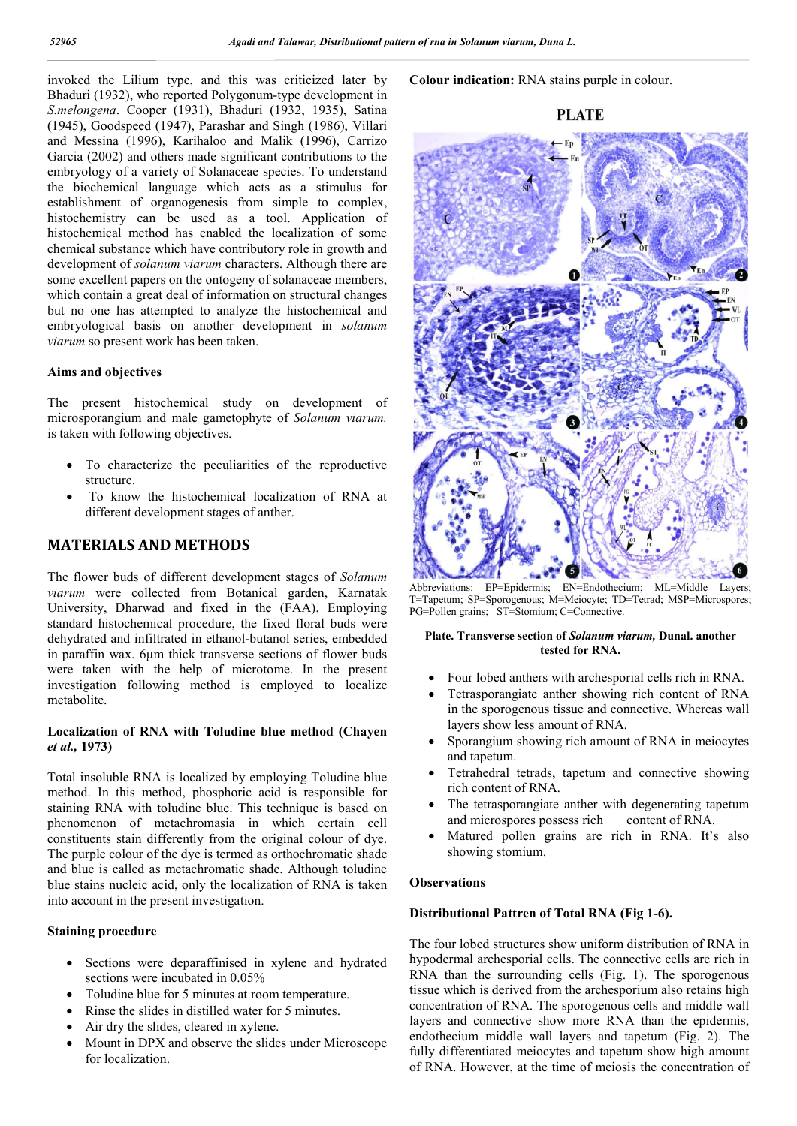invoked the Lilium type, and this was criticized later by Bhaduri (1932), who reported Polygonum-type development in *S.melongena*. Cooper (1931), Bhaduri (1932, 1935), Satina (1945), Goodspeed (1947), Parashar and Singh (1986), Villari and Messina (1996), Karihaloo and Malik (1996), Carrizo Garcia (2002) and others made significant contributions to the embryology of a variety of Solanaceae species. To understand the biochemical language which acts as a stimulus for establishment of organogenesis from simple to complex, histochemistry can be used as a tool. Application of histochemical method has enabled the localization of some chemical substance which have contributory role in growth and development of *solanum viarum* characters. Although there are some excellent papers on the ontogeny of solanaceae members, which contain a great deal of information on structural changes but no one has attempted to analyze the histochemical and embryological basis on another development in *solanum viarum* so present work has been taken.

## **Aims and objectives**

The present histochemical study on development of microsporangium and male gametophyte of *Solanum viarum.*  is taken with following objectives.

- To characterize the peculiarities of the reproductive structure.
- To know the histochemical localization of RNA at different development stages of anther.

# **MATERIALS AND METHODS**

The flower buds of different development stages of *Solanum viarum* were collected from Botanical garden, Karnatak University, Dharwad and fixed in the (FAA). Employing standard histochemical procedure, the fixed floral buds were dehydrated and infiltrated in ethanol-butanol series, embedded in paraffin wax. 6μm thick transverse sections of flower buds were taken with the help of microtome. In the present investigation following method is employed to localize metabolite.

### **Localization of RNA with Toludine blue method (Chayen** *et al.,* **1973)**

Total insoluble RNA is localized by employing Toludine blue method. In this method, phosphoric acid is responsible for staining RNA with toludine blue. This technique is based on phenomenon of metachromasia in which certain cell constituents stain differently from the original colour of dye. The purple colour of the dye is termed as orthochromatic shade and blue is called as metachromatic shade. Although toludine blue stains nucleic acid, only the localization of RNA is taken into account in the present investigation.

## **Staining procedure**

- Sections were deparaffinised in xylene and hydrated sections were incubated in 0.05%
- Toludine blue for 5 minutes at room temperature.
- Rinse the slides in distilled water for 5 minutes.
- Air dry the slides, cleared in xylene.
- Mount in DPX and observe the slides under Microscope for localization.

**Colour indication:** RNA stains purple in colour.

# **PLATE**



Abbreviations: EP=Epidermis; EN=Endothecium; ML=Middle Layers; T=Tapetum; SP=Sporogenous; M=Meiocyte; TD=Tetrad; MSP=Microspores; PG=Pollen grains; ST=Stomium; C=Connective.

#### **Plate. Transverse section of** *Solanum viarum,* **Dunal. another tested for RNA.**

- Four lobed anthers with archesporial cells rich in RNA.
- Tetrasporangiate anther showing rich content of RNA in the sporogenous tissue and connective. Whereas wall layers show less amount of RNA.
- Sporangium showing rich amount of RNA in meiocytes and tapetum.
- Tetrahedral tetrads, tapetum and connective showing rich content of RNA.
- The tetrasporangiate anther with degenerating tapetum and microspores possess rich content of RNA.
- Matured pollen grains are rich in RNA. It's also showing stomium.

#### **Observations**

## **Distributional Pattren of Total RNA (Fig 1-6).**

The four lobed structures show uniform distribution of RNA in hypodermal archesporial cells. The connective cells are rich in RNA than the surrounding cells (Fig. 1). The sporogenous tissue which is derived from the archesporium also retains high concentration of RNA. The sporogenous cells and middle wall layers and connective show more RNA than the epidermis, endothecium middle wall layers and tapetum (Fig. 2). The fully differentiated meiocytes and tapetum show high amount of RNA. However, at the time of meiosis the concentration of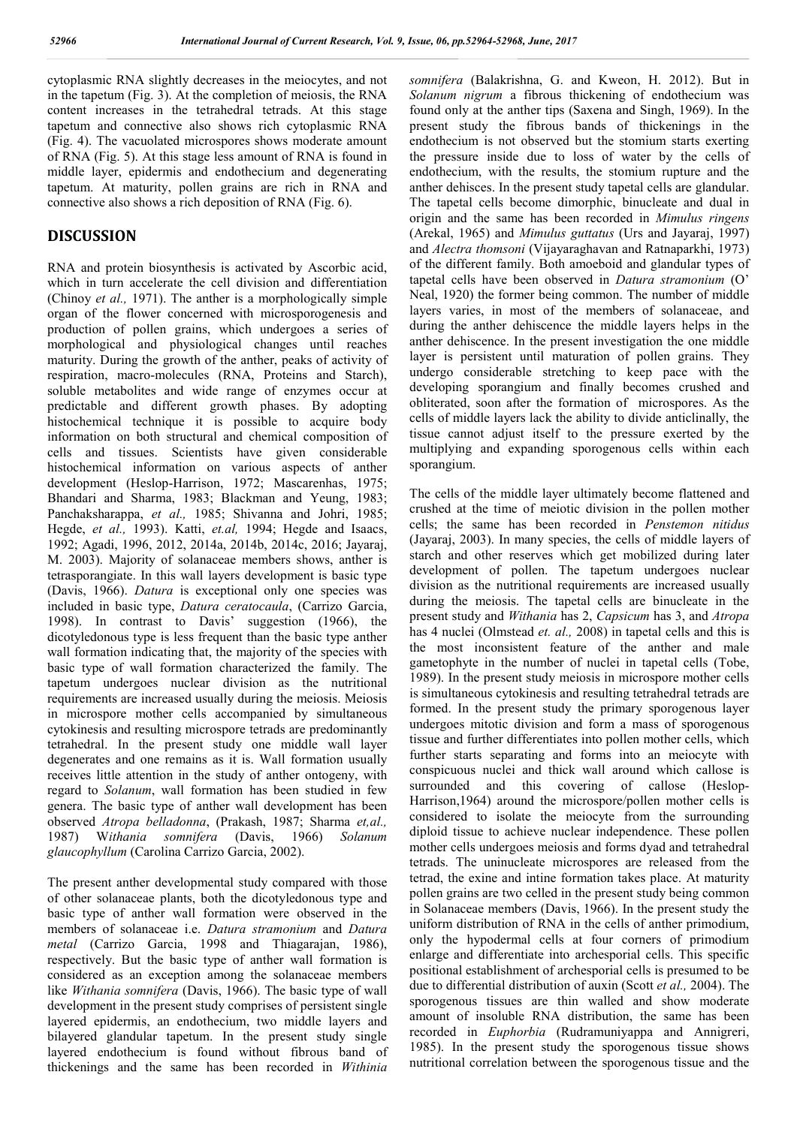cytoplasmic RNA slightly decreases in the meiocytes, and not in the tapetum (Fig. 3). At the completion of meiosis, the RNA content increases in the tetrahedral tetrads. At this stage tapetum and connective also shows rich cytoplasmic RNA (Fig. 4). The vacuolated microspores shows moderate amount of RNA (Fig. 5). At this stage less amount of RNA is found in middle layer, epidermis and endothecium and degenerating tapetum. At maturity, pollen grains are rich in RNA and connective also shows a rich deposition of RNA (Fig. 6).

# **DISCUSSION**

RNA and protein biosynthesis is activated by Ascorbic acid, which in turn accelerate the cell division and differentiation (Chinoy *et al.,* 1971). The anther is a morphologically simple organ of the flower concerned with microsporogenesis and production of pollen grains, which undergoes a series of morphological and physiological changes until reaches maturity. During the growth of the anther, peaks of activity of respiration, macro-molecules (RNA, Proteins and Starch), soluble metabolites and wide range of enzymes occur at predictable and different growth phases. By adopting histochemical technique it is possible to acquire body information on both structural and chemical composition of cells and tissues. Scientists have given considerable histochemical information on various aspects of anther development (Heslop-Harrison, 1972; Mascarenhas, 1975; Bhandari and Sharma, 1983; Blackman and Yeung, 1983; Panchaksharappa, *et al.,* 1985; Shivanna and Johri, 1985; Hegde, *et al.,* 1993). Katti, *et.al,* 1994; Hegde and Isaacs, 1992; Agadi, 1996, 2012, 2014a, 2014b, 2014c, 2016; Jayaraj, M. 2003). Majority of solanaceae members shows, anther is tetrasporangiate. In this wall layers development is basic type (Davis, 1966). *Datura* is exceptional only one species was included in basic type, *Datura ceratocaula*, (Carrizo Garcia, 1998). In contrast to Davis' suggestion (1966), the dicotyledonous type is less frequent than the basic type anther wall formation indicating that, the majority of the species with basic type of wall formation characterized the family. The tapetum undergoes nuclear division as the nutritional requirements are increased usually during the meiosis. Meiosis in microspore mother cells accompanied by simultaneous cytokinesis and resulting microspore tetrads are predominantly tetrahedral. In the present study one middle wall layer degenerates and one remains as it is. Wall formation usually receives little attention in the study of anther ontogeny, with regard to *Solanum*, wall formation has been studied in few genera. The basic type of anther wall development has been observed *Atropa belladonna*, (Prakash, 1987; Sharma *et,al.,*  1987) W*ithania somnifera* (Davis, 1966) *Solanum glaucophyllum* (Carolina Carrizo Garcia, 2002).

The present anther developmental study compared with those of other solanaceae plants, both the dicotyledonous type and basic type of anther wall formation were observed in the members of solanaceae i.e. *Datura stramonium* and *Datura metal* (Carrizo Garcia, 1998 and Thiagarajan, 1986), respectively. But the basic type of anther wall formation is considered as an exception among the solanaceae members like *Withania somnifera* (Davis, 1966). The basic type of wall development in the present study comprises of persistent single layered epidermis, an endothecium, two middle layers and bilayered glandular tapetum. In the present study single layered endothecium is found without fibrous band of thickenings and the same has been recorded in *Withinia* 

*somnifera* (Balakrishna, G. and Kweon, H. 2012). But in *Solanum nigrum* a fibrous thickening of endothecium was found only at the anther tips (Saxena and Singh, 1969). In the present study the fibrous bands of thickenings in the endothecium is not observed but the stomium starts exerting the pressure inside due to loss of water by the cells of endothecium, with the results, the stomium rupture and the anther dehisces. In the present study tapetal cells are glandular. The tapetal cells become dimorphic, binucleate and dual in origin and the same has been recorded in *Mimulus ringens*  (Arekal, 1965) and *Mimulus guttatus* (Urs and Jayaraj, 1997) and *Alectra thomsoni* (Vijayaraghavan and Ratnaparkhi, 1973) of the different family. Both amoeboid and glandular types of tapetal cells have been observed in *Datura stramonium* (O' Neal, 1920) the former being common. The number of middle layers varies, in most of the members of solanaceae, and during the anther dehiscence the middle layers helps in the anther dehiscence. In the present investigation the one middle layer is persistent until maturation of pollen grains. They undergo considerable stretching to keep pace with the developing sporangium and finally becomes crushed and obliterated, soon after the formation of microspores. As the cells of middle layers lack the ability to divide anticlinally, the tissue cannot adjust itself to the pressure exerted by the multiplying and expanding sporogenous cells within each sporangium.

The cells of the middle layer ultimately become flattened and crushed at the time of meiotic division in the pollen mother cells; the same has been recorded in *Penstemon nitidus* (Jayaraj, 2003). In many species, the cells of middle layers of starch and other reserves which get mobilized during later development of pollen. The tapetum undergoes nuclear division as the nutritional requirements are increased usually during the meiosis. The tapetal cells are binucleate in the present study and *Withania* has 2, *Capsicum* has 3, and *Atropa*  has 4 nuclei (Olmstead *et. al.,* 2008) in tapetal cells and this is the most inconsistent feature of the anther and male gametophyte in the number of nuclei in tapetal cells (Tobe, 1989). In the present study meiosis in microspore mother cells is simultaneous cytokinesis and resulting tetrahedral tetrads are formed. In the present study the primary sporogenous layer undergoes mitotic division and form a mass of sporogenous tissue and further differentiates into pollen mother cells, which further starts separating and forms into an meiocyte with conspicuous nuclei and thick wall around which callose is surrounded and this covering of callose (Heslop-Harrison,1964) around the microspore/pollen mother cells is considered to isolate the meiocyte from the surrounding diploid tissue to achieve nuclear independence. These pollen mother cells undergoes meiosis and forms dyad and tetrahedral tetrads. The uninucleate microspores are released from the tetrad, the exine and intine formation takes place. At maturity pollen grains are two celled in the present study being common in Solanaceae members (Davis, 1966). In the present study the uniform distribution of RNA in the cells of anther primodium, only the hypodermal cells at four corners of primodium enlarge and differentiate into archesporial cells. This specific positional establishment of archesporial cells is presumed to be due to differential distribution of auxin (Scott *et al.,* 2004). The sporogenous tissues are thin walled and show moderate amount of insoluble RNA distribution, the same has been recorded in *Euphorbia* (Rudramuniyappa and Annigreri, 1985). In the present study the sporogenous tissue shows nutritional correlation between the sporogenous tissue and the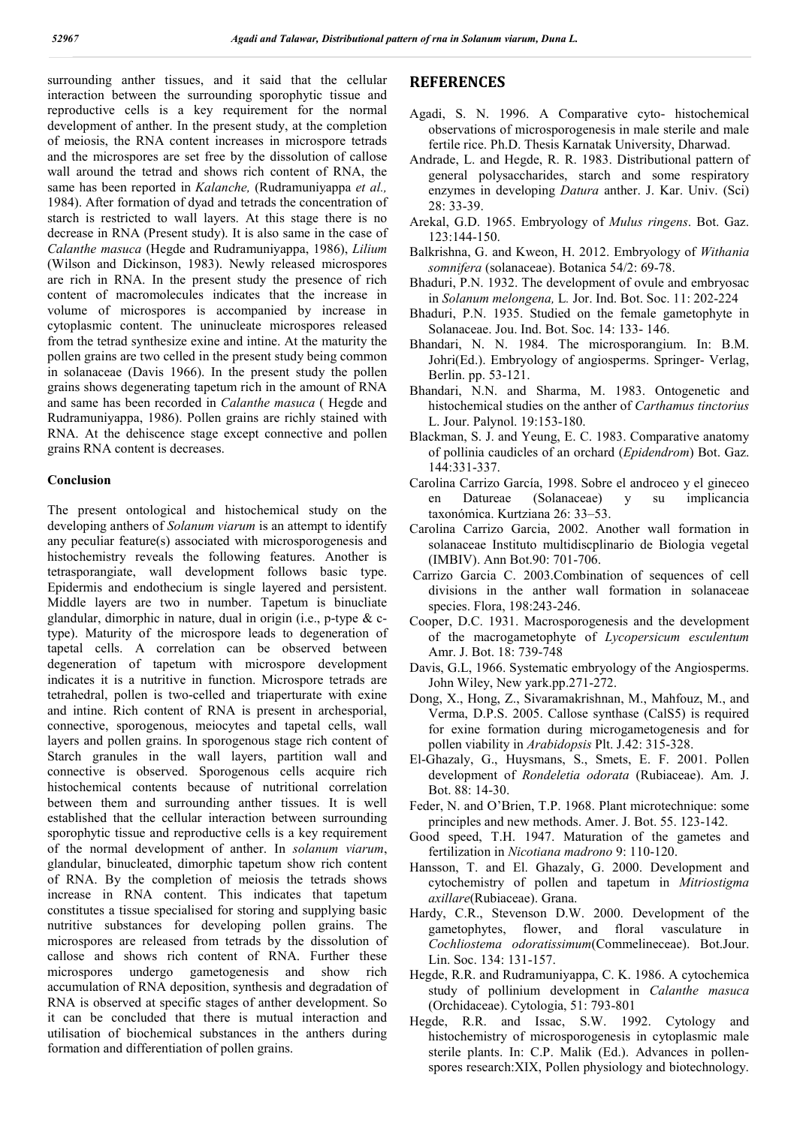surrounding anther tissues, and it said that the cellular interaction between the surrounding sporophytic tissue and reproductive cells is a key requirement for the normal development of anther. In the present study, at the completion of meiosis, the RNA content increases in microspore tetrads and the microspores are set free by the dissolution of callose wall around the tetrad and shows rich content of RNA, the same has been reported in *Kalanche,* (Rudramuniyappa *et al.,*  1984). After formation of dyad and tetrads the concentration of starch is restricted to wall layers. At this stage there is no decrease in RNA (Present study). It is also same in the case of *Calanthe masuca* (Hegde and Rudramuniyappa, 1986), *Lilium* (Wilson and Dickinson, 1983). Newly released microspores are rich in RNA. In the present study the presence of rich content of macromolecules indicates that the increase in volume of microspores is accompanied by increase in cytoplasmic content. The uninucleate microspores released from the tetrad synthesize exine and intine. At the maturity the pollen grains are two celled in the present study being common in solanaceae (Davis 1966). In the present study the pollen grains shows degenerating tapetum rich in the amount of RNA and same has been recorded in *Calanthe masuca* ( Hegde and Rudramuniyappa, 1986). Pollen grains are richly stained with RNA. At the dehiscence stage except connective and pollen grains RNA content is decreases.

#### **Conclusion**

The present ontological and histochemical study on the developing anthers of *Solanum viarum* is an attempt to identify any peculiar feature(s) associated with microsporogenesis and histochemistry reveals the following features. Another is tetrasporangiate, wall development follows basic type. Epidermis and endothecium is single layered and persistent. Middle layers are two in number. Tapetum is binucliate glandular, dimorphic in nature, dual in origin (i.e., p-type & ctype). Maturity of the microspore leads to degeneration of tapetal cells. A correlation can be observed between degeneration of tapetum with microspore development indicates it is a nutritive in function. Microspore tetrads are tetrahedral, pollen is two-celled and triaperturate with exine and intine. Rich content of RNA is present in archesporial, connective, sporogenous, meiocytes and tapetal cells, wall layers and pollen grains. In sporogenous stage rich content of Starch granules in the wall layers, partition wall and connective is observed. Sporogenous cells acquire rich histochemical contents because of nutritional correlation between them and surrounding anther tissues. It is well established that the cellular interaction between surrounding sporophytic tissue and reproductive cells is a key requirement of the normal development of anther. In *solanum viarum*, glandular, binucleated, dimorphic tapetum show rich content of RNA. By the completion of meiosis the tetrads shows increase in RNA content. This indicates that tapetum constitutes a tissue specialised for storing and supplying basic nutritive substances for developing pollen grains. The microspores are released from tetrads by the dissolution of callose and shows rich content of RNA. Further these microspores undergo gametogenesis and show rich accumulation of RNA deposition, synthesis and degradation of RNA is observed at specific stages of anther development. So it can be concluded that there is mutual interaction and utilisation of biochemical substances in the anthers during formation and differentiation of pollen grains.

# **REFERENCES**

- Agadi, S. N. 1996. A Comparative cyto- histochemical observations of microsporogenesis in male sterile and male fertile rice. Ph.D. Thesis Karnatak University, Dharwad.
- Andrade, L. and Hegde, R. R. 1983. Distributional pattern of general polysaccharides, starch and some respiratory enzymes in developing *Datura* anther. J. Kar. Univ. (Sci) 28: 33-39.
- Arekal, G.D. 1965. Embryology of *Mulus ringens*. Bot. Gaz. 123:144-150.
- Balkrishna, G. and Kweon, H. 2012. Embryology of *Withania somnifera* (solanaceae). Botanica 54/2: 69-78.
- Bhaduri, P.N. 1932. The development of ovule and embryosac in *Solanum melongena,* L*.* Jor. Ind. Bot. Soc. 11: 202-224
- Bhaduri, P.N. 1935. Studied on the female gametophyte in Solanaceae. Jou. Ind. Bot. Soc. 14: 133- 146.
- Bhandari, N. N. 1984. The microsporangium. In: B.M. Johri(Ed.). Embryology of angiosperms. Springer- Verlag, Berlin. pp. 53-121.
- Bhandari, N.N. and Sharma, M. 1983. Ontogenetic and histochemical studies on the anther of *Carthamus tinctorius*  L. Jour. Palynol. 19:153-180.
- Blackman, S. J. and Yeung, E. C. 1983. Comparative anatomy of pollinia caudicles of an orchard (*Epidendrom*) Bot. Gaz. 144:331-337.
- Carolina Carrizo García, 1998. Sobre el androceo y el gineceo en Datureae (Solanaceae) y su implicancia taxonómica. Kurtziana 26: 33–53.
- Carolina Carrizo Garcia, 2002. Another wall formation in solanaceae Instituto multidiscplinario de Biologia vegetal (IMBIV). Ann Bot.90: 701-706.
- Carrizo Garcia C. 2003.Combination of sequences of cell divisions in the anther wall formation in solanaceae species. Flora, 198:243-246.
- Cooper, D.C. 1931. Macrosporogenesis and the development of the macrogametophyte of *Lycopersicum esculentum*  Amr. J. Bot. 18: 739-748
- Davis, G.L, 1966. Systematic embryology of the Angiosperms. John Wiley, New yark.pp.271-272.
- Dong, X., Hong, Z., Sivaramakrishnan, M., Mahfouz, M., and Verma, D.P.S. 2005. Callose synthase (CalS5) is required for exine formation during microgametogenesis and for pollen viability in *Arabidopsis* Plt. J.42: 315-328.
- El-Ghazaly, G., Huysmans, S., Smets, E. F. 2001. Pollen development of *Rondeletia odorata* (Rubiaceae). Am. J. Bot. 88: 14-30.
- Feder, N. and O'Brien, T.P. 1968. Plant microtechnique: some principles and new methods. Amer. J. Bot. 55. 123-142.
- Good speed, T.H. 1947. Maturation of the gametes and fertilization in *Nicotiana madrono* 9: 110-120.
- Hansson, T. and El. Ghazaly, G. 2000. Development and cytochemistry of pollen and tapetum in *Mitriostigma axillare*(Rubiaceae). Grana.
- Hardy, C.R., Stevenson D.W. 2000. Development of the gametophytes, flower, and floral vasculature in *Cochliostema odoratissimum*(Commelineceae). Bot.Jour. Lin. Soc. 134: 131-157.
- Hegde, R.R. and Rudramuniyappa, C. K. 1986. A cytochemica study of pollinium development in *Calanthe masuca* (Orchidaceae). Cytologia, 51: 793-801
- Hegde, R.R. and Issac, S.W. 1992. Cytology and histochemistry of microsporogenesis in cytoplasmic male sterile plants. In: C.P. Malik (Ed.). Advances in pollenspores research:XIX, Pollen physiology and biotechnology.